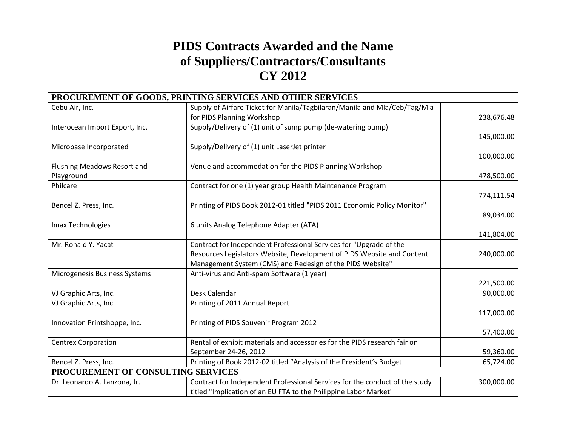## **PIDS Contracts Awarded and the Name of Suppliers/Contractors/Consultants CY 2012**

|                                    | PROCUREMENT OF GOODS, PRINTING SERVICES AND OTHER SERVICES                  |            |
|------------------------------------|-----------------------------------------------------------------------------|------------|
| Cebu Air, Inc.                     | Supply of Airfare Ticket for Manila/Tagbilaran/Manila and Mla/Ceb/Tag/Mla   |            |
|                                    | for PIDS Planning Workshop                                                  | 238,676.48 |
| Interocean Import Export, Inc.     | Supply/Delivery of (1) unit of sump pump (de-watering pump)                 |            |
|                                    |                                                                             | 145,000.00 |
| Microbase Incorporated             | Supply/Delivery of (1) unit LaserJet printer                                |            |
|                                    |                                                                             | 100,000.00 |
| Flushing Meadows Resort and        | Venue and accommodation for the PIDS Planning Workshop                      |            |
| Playground                         |                                                                             | 478,500.00 |
| Philcare                           | Contract for one (1) year group Health Maintenance Program                  |            |
|                                    |                                                                             | 774,111.54 |
| Bencel Z. Press, Inc.              | Printing of PIDS Book 2012-01 titled "PIDS 2011 Economic Policy Monitor"    |            |
|                                    |                                                                             | 89,034.00  |
| Imax Technologies                  | 6 units Analog Telephone Adapter (ATA)                                      |            |
|                                    |                                                                             | 141,804.00 |
| Mr. Ronald Y. Yacat                | Contract for Independent Professional Services for "Upgrade of the          |            |
|                                    | Resources Legislators Website, Development of PIDS Website and Content      | 240,000.00 |
|                                    | Management System (CMS) and Redesign of the PIDS Website"                   |            |
| Microgenesis Business Systems      | Anti-virus and Anti-spam Software (1 year)                                  |            |
|                                    |                                                                             | 221,500.00 |
| VJ Graphic Arts, Inc.              | Desk Calendar                                                               | 90,000.00  |
| VJ Graphic Arts, Inc.              | Printing of 2011 Annual Report                                              |            |
|                                    |                                                                             | 117,000.00 |
| Innovation Printshoppe, Inc.       | Printing of PIDS Souvenir Program 2012                                      |            |
|                                    |                                                                             | 57,400.00  |
| <b>Centrex Corporation</b>         | Rental of exhibit materials and accessories for the PIDS research fair on   |            |
|                                    | September 24-26, 2012                                                       | 59,360.00  |
| Bencel Z. Press, Inc.              | Printing of Book 2012-02 titled "Analysis of the President's Budget         | 65,724.00  |
| PROCUREMENT OF CONSULTING SERVICES |                                                                             |            |
| Dr. Leonardo A. Lanzona, Jr.       | Contract for Independent Professional Services for the conduct of the study | 300,000.00 |
|                                    | titled "Implication of an EU FTA to the Philippine Labor Market"            |            |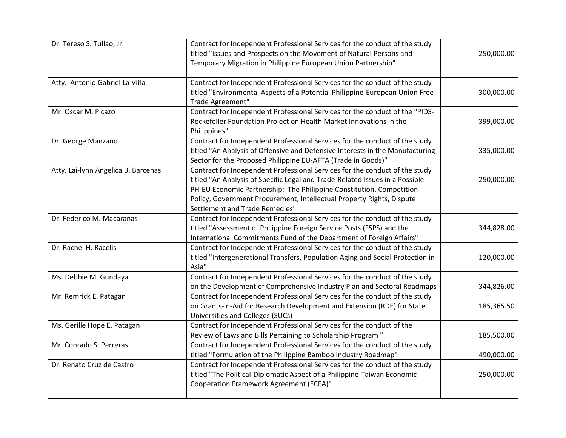| Dr. Tereso S. Tullao, Jr.           | Contract for Independent Professional Services for the conduct of the study<br>titled "Issues and Prospects on the Movement of Natural Persons and<br>Temporary Migration in Philippine European Union Partnership"                                                                                                                            | 250,000.00 |
|-------------------------------------|------------------------------------------------------------------------------------------------------------------------------------------------------------------------------------------------------------------------------------------------------------------------------------------------------------------------------------------------|------------|
| Atty. Antonio Gabriel La Viña       | Contract for Independent Professional Services for the conduct of the study<br>titled "Environmental Aspects of a Potential Philippine-European Union Free<br>Trade Agreement"                                                                                                                                                                 | 300,000.00 |
| Mr. Oscar M. Picazo                 | Contract for Independent Professional Services for the conduct of the "PIDS-<br>Rockefeller Foundation Project on Health Market Innovations in the<br>Philippines"                                                                                                                                                                             | 399,000.00 |
| Dr. George Manzano                  | Contract for Independent Professional Services for the conduct of the study<br>titled "An Analysis of Offensive and Defensive Interests in the Manufacturing<br>Sector for the Proposed Philippine EU-AFTA (Trade in Goods)"                                                                                                                   | 335,000.00 |
| Atty. Lai-lynn Angelica B. Barcenas | Contract for Independent Professional Services for the conduct of the study<br>titled "An Analysis of Specific Legal and Trade-Related Issues in a Possible<br>PH-EU Economic Partnership: The Philippine Constitution, Competition<br>Policy, Government Procurement, Intellectual Property Rights, Dispute<br>Settlement and Trade Remedies" | 250,000.00 |
| Dr. Federico M. Macaranas           | Contract for Independent Professional Services for the conduct of the study<br>titled "Assessment of Philippine Foreign Service Posts (FSPS) and the<br>International Commitments Fund of the Department of Foreign Affairs"                                                                                                                   | 344,828.00 |
| Dr. Rachel H. Racelis               | Contract for Independent Professional Services for the conduct of the study<br>titled "Intergenerational Transfers, Population Aging and Social Protection in<br>Asia"                                                                                                                                                                         | 120,000.00 |
| Ms. Debbie M. Gundaya               | Contract for Independent Professional Services for the conduct of the study<br>on the Development of Comprehensive Industry Plan and Sectoral Roadmaps                                                                                                                                                                                         | 344,826.00 |
| Mr. Remrick E. Patagan              | Contract for Independent Professional Services for the conduct of the study<br>on Grants-in-Aid for Research Development and Extension (RDE) for State<br>Universities and Colleges (SUCs)                                                                                                                                                     | 185,365.50 |
| Ms. Gerille Hope E. Patagan         | Contract for Independent Professional Services for the conduct of the<br>Review of Laws and Bills Pertaining to Scholarship Program "                                                                                                                                                                                                          | 185,500.00 |
| Mr. Conrado S. Perreras             | Contract for Independent Professional Services for the conduct of the study<br>titled "Formulation of the Philippine Bamboo Industry Roadmap"                                                                                                                                                                                                  | 490,000.00 |
| Dr. Renato Cruz de Castro           | Contract for Independent Professional Services for the conduct of the study<br>titled "The Political-Diplomatic Aspect of a Philippine-Taiwan Economic<br>Cooperation Framework Agreement (ECFA)"                                                                                                                                              | 250,000.00 |